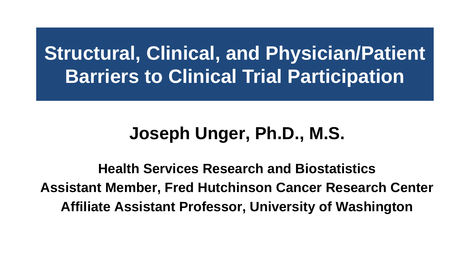## **Structural, Clinical, and Physician/Patient Barriers to Clinical Trial Participation**

#### **Joseph Unger, Ph.D., M.S.**

**Health Services Research and Biostatistics Assistant Member, Fred Hutchinson Cancer Research Center Affiliate Assistant Professor, University of Washington**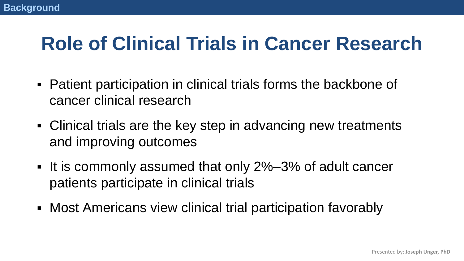## **Role of Clinical Trials in Cancer Research**

- Patient participation in clinical trials forms the backbone of cancer clinical research
- Clinical trials are the key step in advancing new treatments and improving outcomes
- It is commonly assumed that only 2%–3% of adult cancer patients participate in clinical trials
- Most Americans view clinical trial participation favorably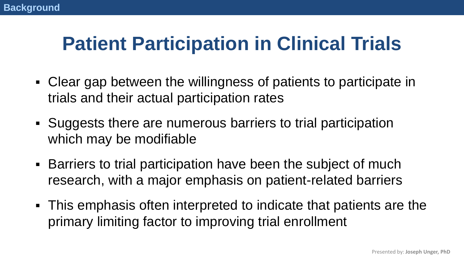## **Patient Participation in Clinical Trials**

- Clear gap between the willingness of patients to participate in trials and their actual participation rates
- Suggests there are numerous barriers to trial participation which may be modifiable
- Barriers to trial participation have been the subject of much research, with a major emphasis on patient-related barriers
- **This emphasis often interpreted to indicate that patients are the** primary limiting factor to improving trial enrollment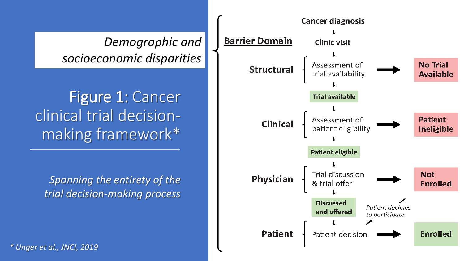*Demographic and socioeconomic disparities*

Figure 1: Cancer clinical trial decisionmaking framework\*

*Spanning the entirety of the trial decision-making process*

*\* Unger et al., JNCI, 2019*

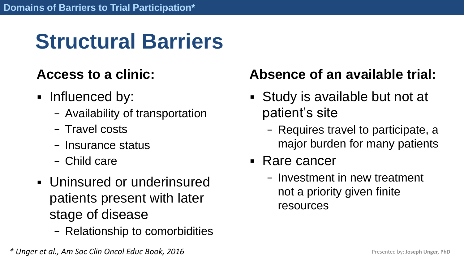# **Structural Barriers**

#### **Access to a clinic:**

- Influenced by:
	- − Availability of transportation
	- − Travel costs
	- − Insurance status
	- − Child care
- Uninsured or underinsured patients present with later stage of disease
	- − Relationship to comorbidities

#### **Absence of an available trial:**

- Study is available but not at patient's site
	- − Requires travel to participate, a major burden for many patients
- Rare cancer
	- − Investment in new treatment not a priority given finite resources

*\* Unger et al., Am Soc Clin Oncol Educ Book, 2016*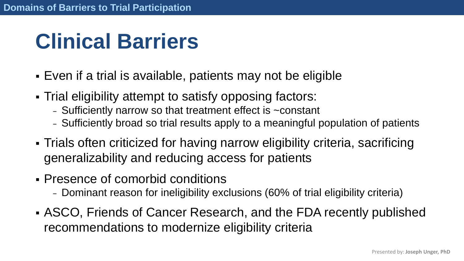## **Clinical Barriers**

- Even if a trial is available, patients may not be eligible
- Trial eligibility attempt to satisfy opposing factors:
	- − Sufficiently narrow so that treatment effect is ~constant
	- − Sufficiently broad so trial results apply to a meaningful population of patients
- **Trials often criticized for having narrow eligibility criteria, sacrificing** generalizability and reducing access for patients
- Presence of comorbid conditions
	- − Dominant reason for ineligibility exclusions (60% of trial eligibility criteria)
- **EXECO, Friends of Cancer Research, and the FDA recently published** recommendations to modernize eligibility criteria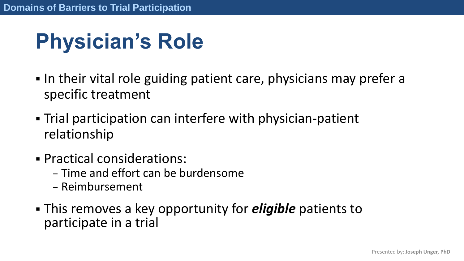# **Physician's Role**

- In their vital role guiding patient care, physicians may prefer a specific treatment
- **Trial participation can interfere with physician-patient** relationship
- Practical considerations:
	- − Time and effort can be burdensome
	- − Reimbursement
- This removes a key opportunity for *eligible* patients to participate in a trial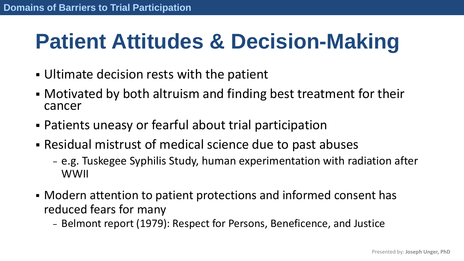## **Patient Attitudes & Decision-Making**

- **.** Ultimate decision rests with the patient
- Motivated by both altruism and finding best treatment for their cancer
- Patients uneasy or fearful about trial participation
- Residual mistrust of medical science due to past abuses
	- − e.g. Tuskegee Syphilis Study, human experimentation with radiation after WWII
- Modern attention to patient protections and informed consent has reduced fears for many
	- − Belmont report (1979): Respect for Persons, Beneficence, and Justice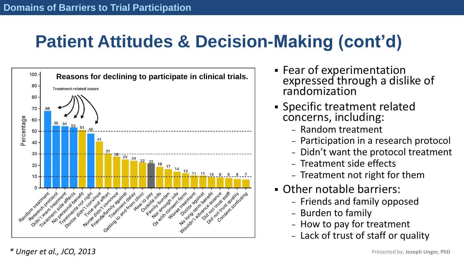## **Patient Attitudes & Decision-Making (cont'd)**



- **EXPERIMERT FRANCE FRANCE** expressed through a dislike of randomization
- Specific treatment related concerns, including:
	- − Random treatment
	- − Participation in a research protocol
	- − Didn't want the protocol treatment
	- − Treatment side effects
	- − Treatment not right for them
- Other notable barriers:
	- − Friends and family opposed
	- − Burden to family
	- − How to pay for treatment
	- − Lack of trust of staff or quality

*\* Unger et al., JCO, 2013* Presented by: **Joseph Unger, PhD**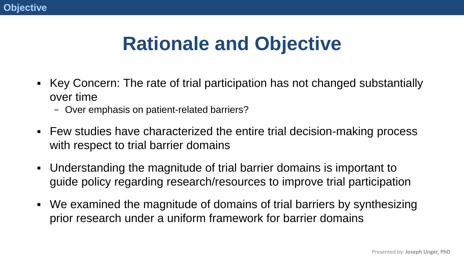## **Rationale and Objective**

- Key Concern: The rate of trial participation has not changed substantially over time
	- − Over emphasis on patient-related barriers?
- Few studies have characterized the entire trial decision-making process with respect to trial barrier domains
- Understanding the magnitude of trial barrier domains is important to guide policy regarding research/resources to improve trial participation
- We examined the magnitude of domains of trial barriers by synthesizing prior research under a uniform framework for barrier domains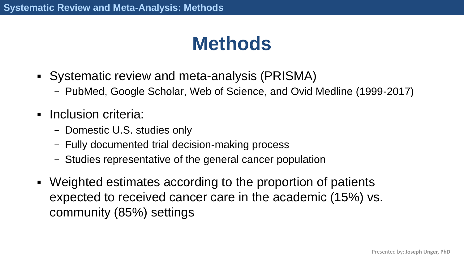## **Methods**

- Systematic review and meta-analysis (PRISMA)
	- − PubMed, Google Scholar, Web of Science, and Ovid Medline (1999-2017)
- **·** Inclusion criteria:
	- − Domestic U.S. studies only
	- − Fully documented trial decision-making process
	- − Studies representative of the general cancer population
- Weighted estimates according to the proportion of patients expected to received cancer care in the academic (15%) vs. community (85%) settings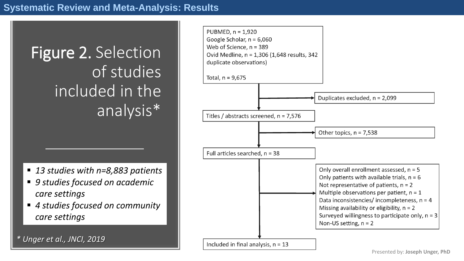## Figure 2. Selection of studies included in the analysis\*

- 13 studies with n=8,883 patients
- 9 studies focused on academic *care settings*
- 4 studies focused on community *care settings*

*\* Unger et al., JNCI, 2019*

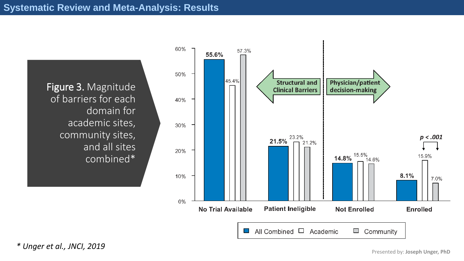#### **Systematic Review and Meta-Analysis: Results**

Figure 3. Magnitude of barriers for each domain for academic sites, community sites, and all sites combined\*



*\* Unger et al., JNCI, 2019*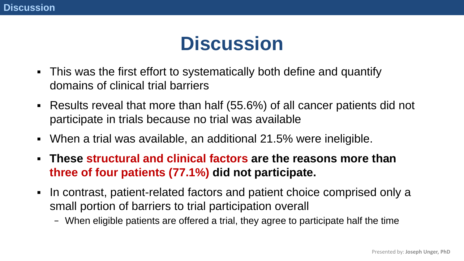## **Discussion**

- This was the first effort to systematically both define and quantify domains of clinical trial barriers
- Results reveal that more than half (55.6%) of all cancer patients did not participate in trials because no trial was available
- When a trial was available, an additional 21.5% were ineligible.
- **These structural and clinical factors are the reasons more than three of four patients (77.1%) did not participate.**
- In contrast, patient-related factors and patient choice comprised only a small portion of barriers to trial participation overall
	- − When eligible patients are offered a trial, they agree to participate half the time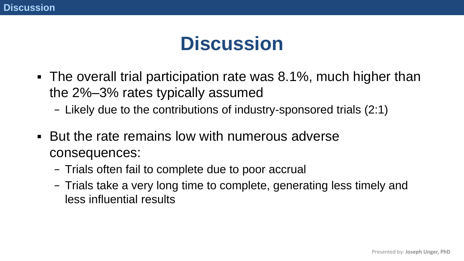## **Discussion**

- The overall trial participation rate was 8.1%, much higher than the 2%–3% rates typically assumed
	- − Likely due to the contributions of industry-sponsored trials (2:1)
- **EXECT FIGHT BUT the rate remains low with numerous adverse** consequences:
	- − Trials often fail to complete due to poor accrual
	- − Trials take a very long time to complete, generating less timely and less influential results